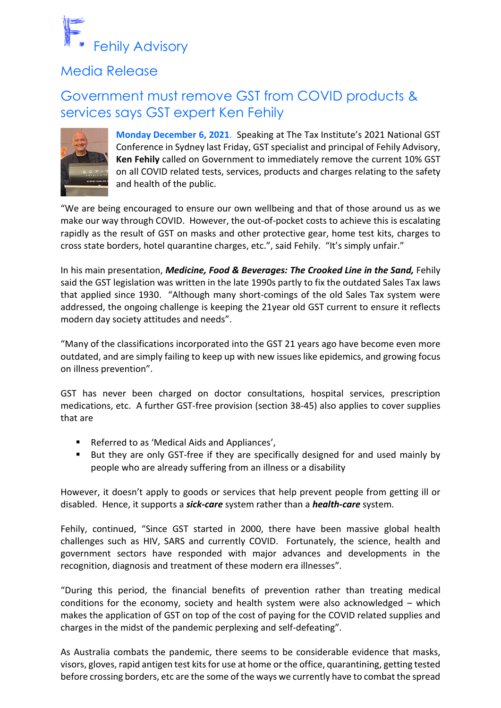

## Media Release

## Government must remove GST from COVID products & services says GST expert Ken Fehily



**Monday December 6, 2021**. Speaking at The Tax Institute's 2021 National GST Conference in Sydney last Friday, GST specialist and principal of Fehily Advisory, **Ken Fehily** called on Government to immediately remove the current 10% GST on all COVID related tests, services, products and charges relating to the safety and health of the public.

"We are being encouraged to ensure our own wellbeing and that of those around us as we make our way through COVID. However, the out-of-pocket costs to achieve this is escalating rapidly as the result of GST on masks and other protective gear, home test kits, charges to cross state borders, hotel quarantine charges, etc.", said Fehily. "It's simply unfair."

In his main presentation, *Medicine, Food & Beverages: The Crooked Line in the Sand,* Fehily said the GST legislation was written in the late 1990s partly to fix the outdated Sales Tax laws that applied since 1930. "Although many short-comings of the old Sales Tax system were addressed, the ongoing challenge is keeping the 21year old GST current to ensure it reflects modern day society attitudes and needs".

"Many of the classifications incorporated into the GST 21 years ago have become even more outdated, and are simply failing to keep up with new issues like epidemics, and growing focus on illness prevention".

GST has never been charged on doctor consultations, hospital services, prescription medications, etc. A further GST-free provision (section 38-45) also applies to cover supplies that are

- Referred to as 'Medical Aids and Appliances',
- But they are only GST-free if they are specifically designed for and used mainly by people who are already suffering from an illness or a disability

However, it doesn't apply to goods or services that help prevent people from getting ill or disabled. Hence, it supports a *sick-care* system rather than a *health-care* system.

Fehily, continued, "Since GST started in 2000, there have been massive global health challenges such as HIV, SARS and currently COVID. Fortunately, the science, health and government sectors have responded with major advances and developments in the recognition, diagnosis and treatment of these modern era illnesses".

"During this period, the financial benefits of prevention rather than treating medical conditions for the economy, society and health system were also acknowledged – which makes the application of GST on top of the cost of paying for the COVID related supplies and charges in the midst of the pandemic perplexing and self-defeating".

As Australia combats the pandemic, there seems to be considerable evidence that masks, visors, gloves, rapid antigen test kitsfor use at home or the office, quarantining, getting tested before crossing borders, etc are the some of the ways we currently have to combat the spread